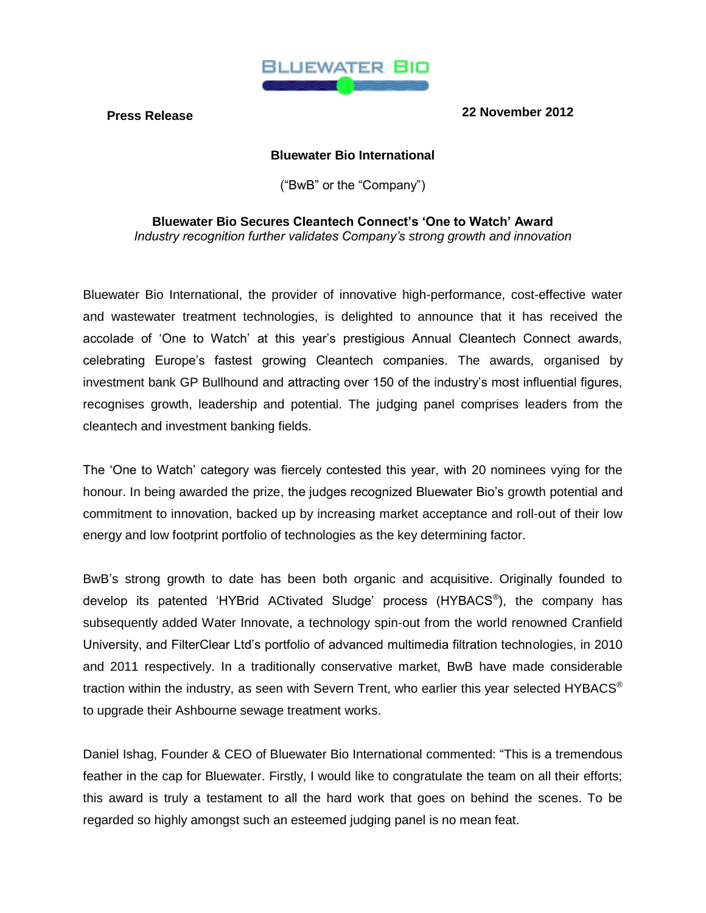

**Press Release 22 November 2012**

# **Bluewater Bio International**

("BwB" or the "Company")

**Bluewater Bio Secures Cleantech Connect's 'One to Watch' Award** *Industry recognition further validates Company's strong growth and innovation*

Bluewater Bio International, the provider of innovative high-performance, cost-effective water and wastewater treatment technologies, is delighted to announce that it has received the accolade of 'One to Watch' at this year's prestigious Annual Cleantech Connect awards, celebrating Europe's fastest growing Cleantech companies. The awards, organised by investment bank GP Bullhound and attracting over 150 of the industry's most influential figures, recognises growth, leadership and potential. The judging panel comprises leaders from the cleantech and investment banking fields.

The 'One to Watch' category was fiercely contested this year, with 20 nominees vying for the honour. In being awarded the prize, the judges recognized Bluewater Bio's growth potential and commitment to innovation, backed up by increasing market acceptance and roll-out of their low energy and low footprint portfolio of technologies as the key determining factor.

BwB's strong growth to date has been both organic and acquisitive. Originally founded to develop its patented 'HYBrid ACtivated Sludge' process (HYBACS<sup>®</sup>), the company has subsequently added Water Innovate, a technology spin-out from the world renowned Cranfield University, and FilterClear Ltd's portfolio of advanced multimedia filtration technologies, in 2010 and 2011 respectively. In a traditionally conservative market, BwB have made considerable traction within the industry, as seen with Severn Trent, who earlier this year selected HYBACS® to upgrade their Ashbourne sewage treatment works.

Daniel Ishag, Founder & CEO of Bluewater Bio International commented: "This is a tremendous feather in the cap for Bluewater. Firstly, I would like to congratulate the team on all their efforts; this award is truly a testament to all the hard work that goes on behind the scenes. To be regarded so highly amongst such an esteemed judging panel is no mean feat.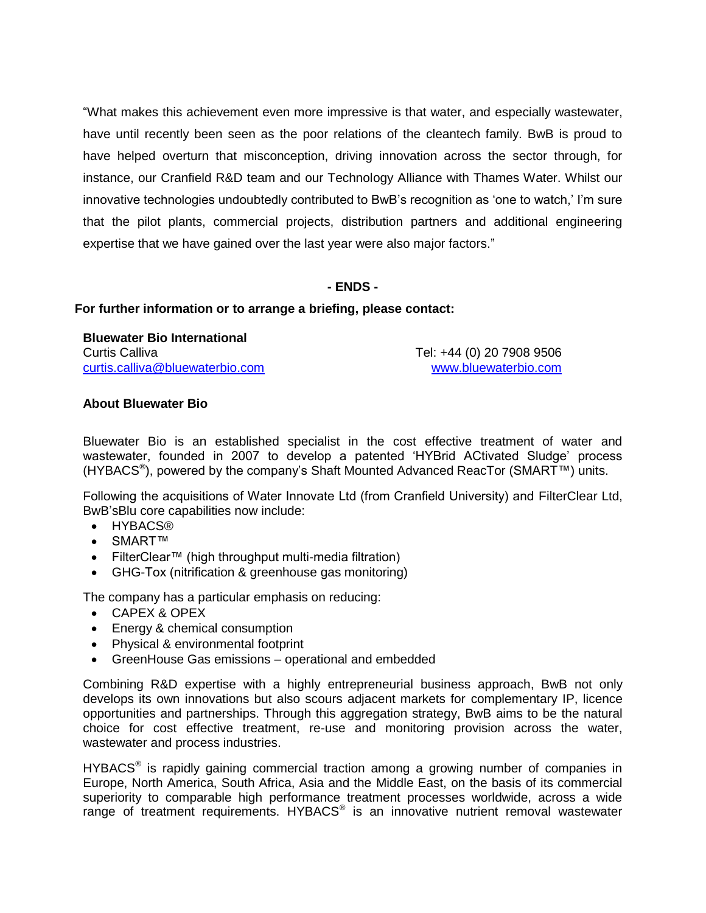"What makes this achievement even more impressive is that water, and especially wastewater, have until recently been seen as the poor relations of the cleantech family. BwB is proud to have helped overturn that misconception, driving innovation across the sector through, for instance, our Cranfield R&D team and our Technology Alliance with Thames Water. Whilst our innovative technologies undoubtedly contributed to BwB's recognition as 'one to watch,' I'm sure that the pilot plants, commercial projects, distribution partners and additional engineering expertise that we have gained over the last year were also major factors."

# **- ENDS -**

## **For further information or to arrange a briefing, please contact:**

## **Bluewater Bio International**

Curtis Calliva Tel: +44 (0) 20 7908 9506 [curtis.calliva@bluewaterbio.com](mailto:curtis.calliva@bluewaterbio.com) [www.bluewaterbio.com](http://www.bluewaterbio.com/)

# **About Bluewater Bio**

Bluewater Bio is an established specialist in the cost effective treatment of water and wastewater, founded in 2007 to develop a patented 'HYBrid ACtivated Sludge' process (HYBACS<sup>®</sup>), powered by the company's Shaft Mounted Advanced ReacTor (SMART™) units.

Following the acquisitions of Water Innovate Ltd (from Cranfield University) and FilterClear Ltd, BwB'sBlu core capabilities now include:

- HYBACS®
- SMART™
- FilterClear™ (high throughput multi-media filtration)
- GHG-Tox (nitrification & greenhouse gas monitoring)

The company has a particular emphasis on reducing:

- CAPEX & OPEX
- Energy & chemical consumption
- Physical & environmental footprint
- GreenHouse Gas emissions operational and embedded

Combining R&D expertise with a highly entrepreneurial business approach, BwB not only develops its own innovations but also scours adjacent markets for complementary IP, licence opportunities and partnerships. Through this aggregation strategy, BwB aims to be the natural choice for cost effective treatment, re-use and monitoring provision across the water, wastewater and process industries.

HYBACS<sup>®</sup> is rapidly gaining commercial traction among a growing number of companies in Europe, North America, South Africa, Asia and the Middle East, on the basis of its commercial superiority to comparable high performance treatment processes worldwide, across a wide range of treatment requirements. HYBACS<sup>®</sup> is an innovative nutrient removal wastewater